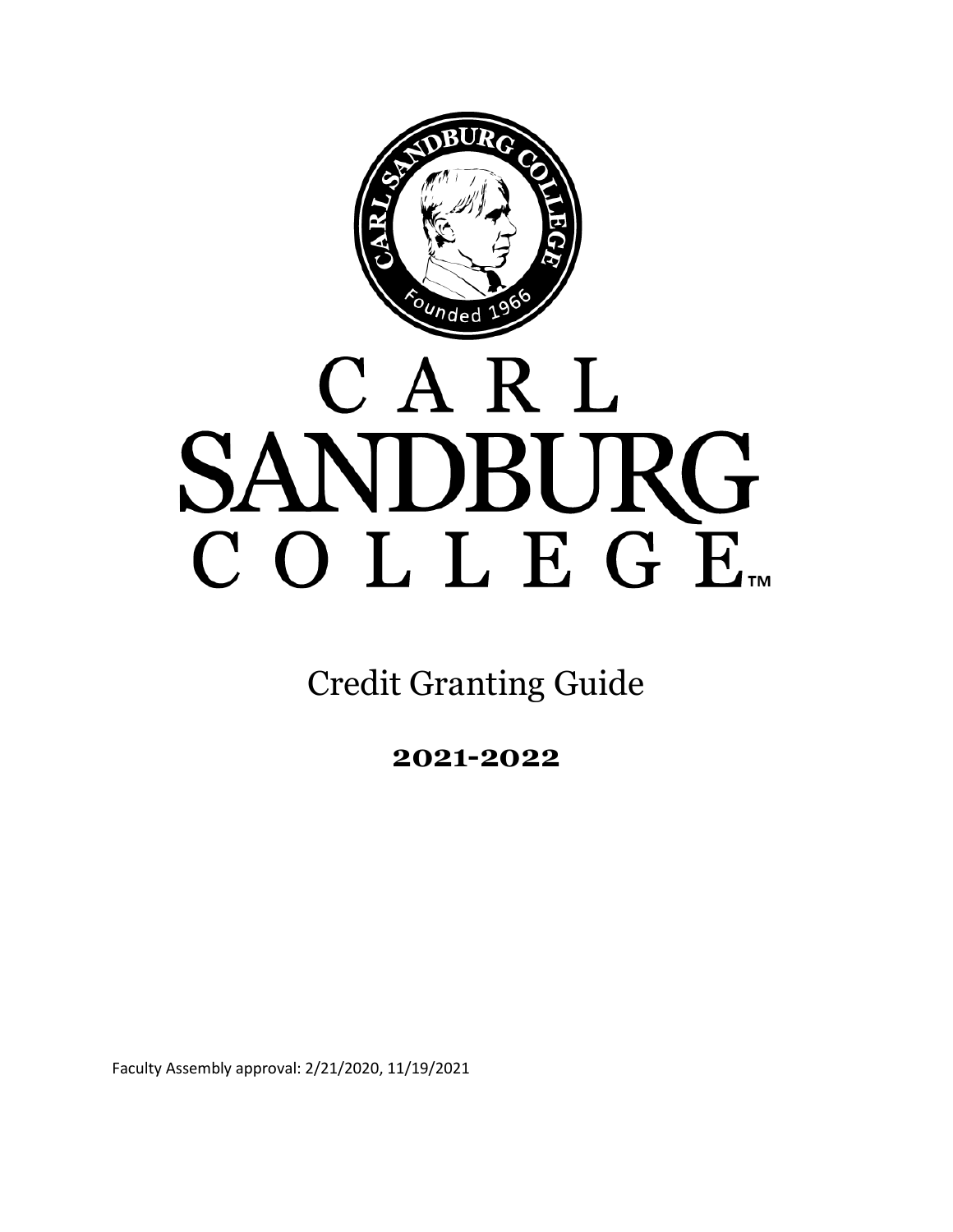

# CARL SANDBURG COLLEGE

Credit Granting Guide

**2021-2022**

Faculty Assembly approval: 2/21/2020, 11/19/2021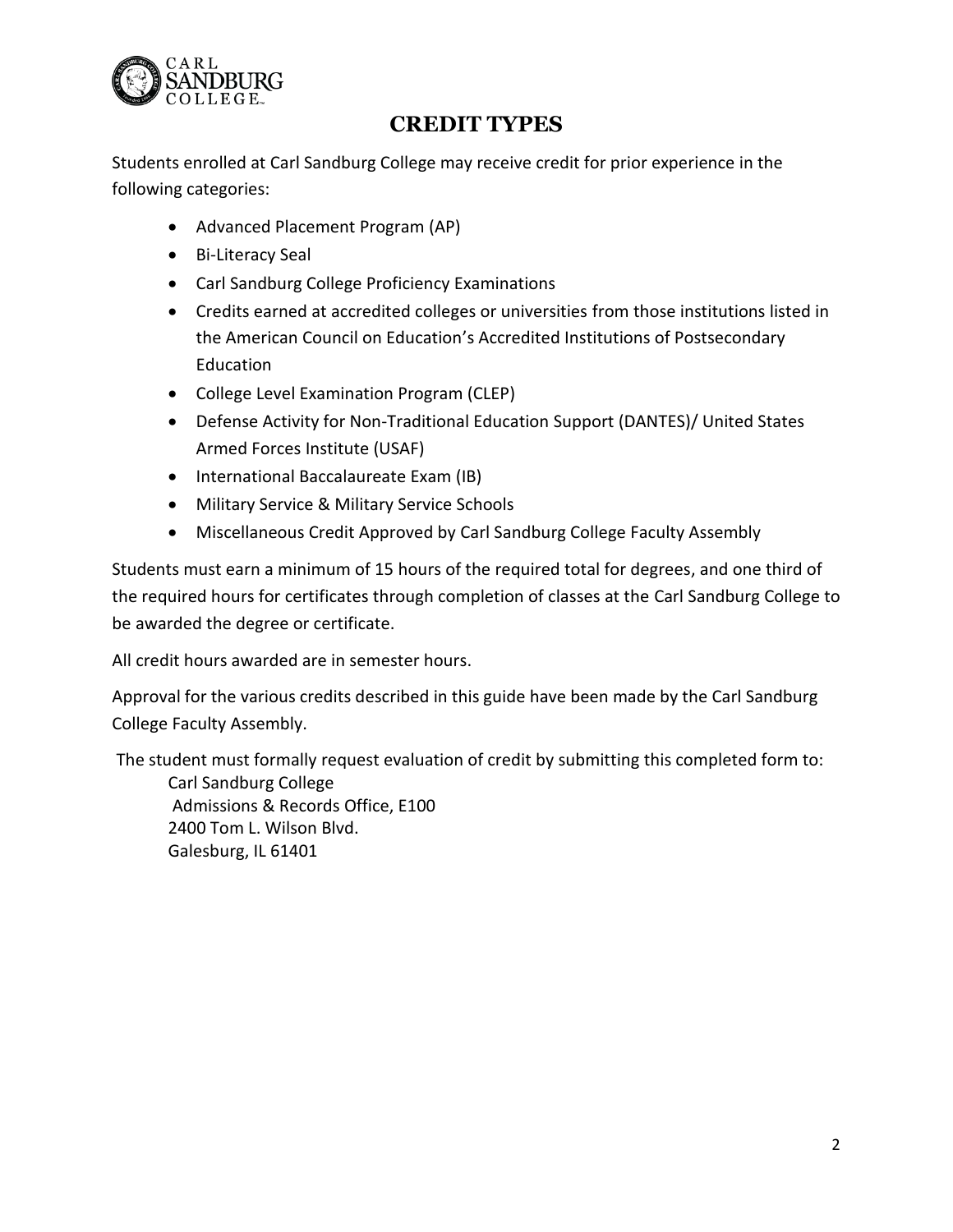

# **CREDIT TYPES**

Students enrolled at Carl Sandburg College may receive credit for prior experience in the following categories:

- Advanced Placement Program (AP)
- Bi-Literacy Seal
- Carl Sandburg College Proficiency Examinations
- Credits earned at accredited colleges or universities from those institutions listed in the American Council on Education's Accredited Institutions of Postsecondary Education
- College Level Examination Program (CLEP)
- Defense Activity for Non-Traditional Education Support (DANTES)/ United States Armed Forces Institute (USAF)
- International Baccalaureate Exam (IB)
- Military Service & Military Service Schools
- Miscellaneous Credit Approved by Carl Sandburg College Faculty Assembly

Students must earn a minimum of 15 hours of the required total for degrees, and one third of the required hours for certificates through completion of classes at the Carl Sandburg College to be awarded the degree or certificate.

All credit hours awarded are in semester hours.

Approval for the various credits described in this guide have been made by the Carl Sandburg College Faculty Assembly.

The student must formally request evaluation of credit by submitting this completed form to: Carl Sandburg College Admissions & Records Office, E100 2400 Tom L. Wilson Blvd.

Galesburg, IL 61401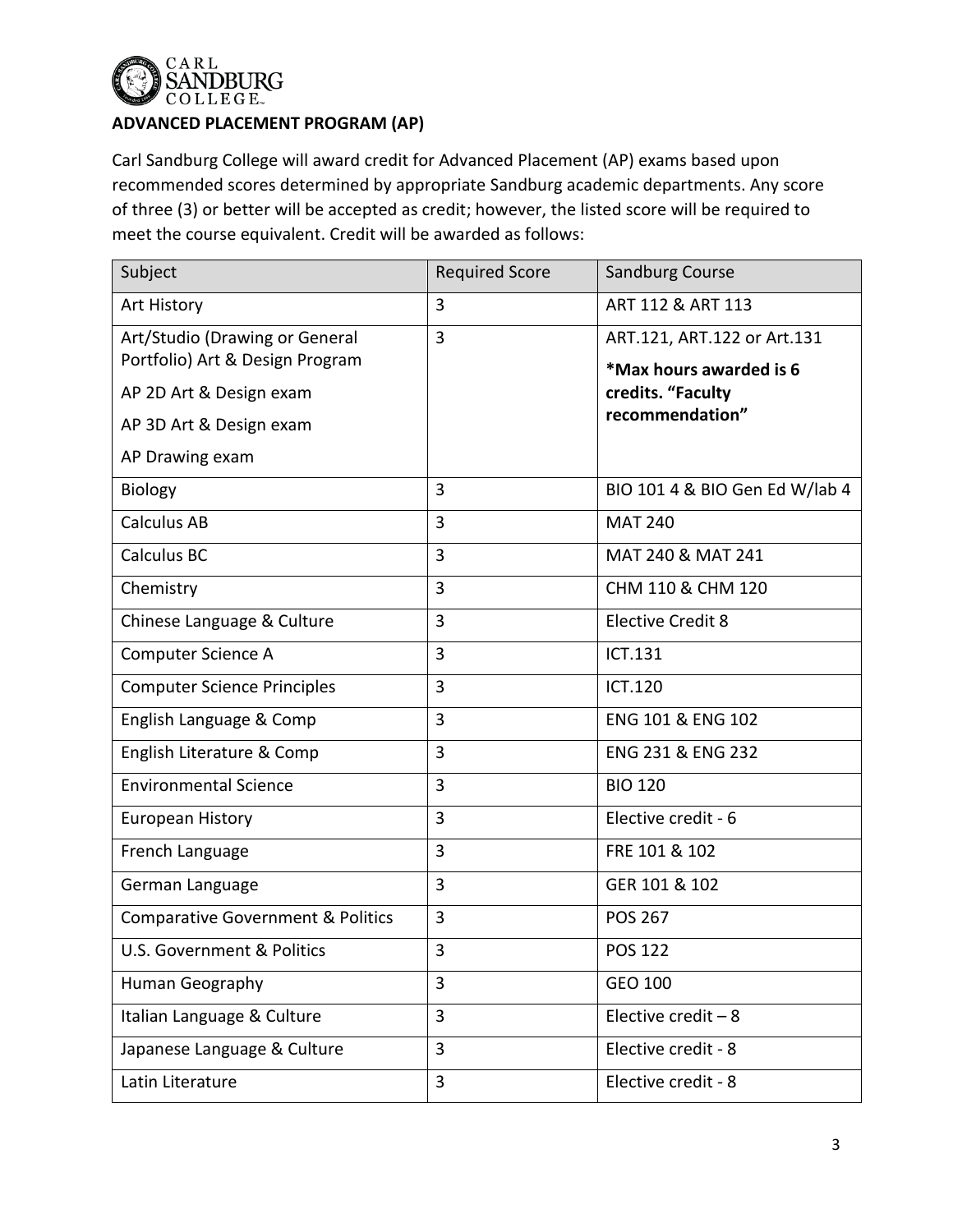

# **ADVANCED PLACEMENT PROGRAM (AP)**

Carl Sandburg College will award credit for Advanced Placement (AP) exams based upon recommended scores determined by appropriate Sandburg academic departments. Any score of three (3) or better will be accepted as credit; however, the listed score will be required to meet the course equivalent. Credit will be awarded as follows:

| Subject                                                           | <b>Required Score</b> | Sandburg Course                                        |
|-------------------------------------------------------------------|-----------------------|--------------------------------------------------------|
| Art History                                                       | 3                     | ART 112 & ART 113                                      |
| Art/Studio (Drawing or General<br>Portfolio) Art & Design Program | 3                     | ART.121, ART.122 or Art.131<br>*Max hours awarded is 6 |
| AP 2D Art & Design exam                                           |                       | credits. "Faculty                                      |
| AP 3D Art & Design exam                                           |                       | recommendation"                                        |
| AP Drawing exam                                                   |                       |                                                        |
| Biology                                                           | 3                     | BIO 101 4 & BIO Gen Ed W/lab 4                         |
| Calculus AB                                                       | 3                     | <b>MAT 240</b>                                         |
| Calculus BC                                                       | 3                     | MAT 240 & MAT 241                                      |
| Chemistry                                                         | 3                     | CHM 110 & CHM 120                                      |
| Chinese Language & Culture                                        | 3                     | <b>Elective Credit 8</b>                               |
| Computer Science A                                                | 3                     | ICT.131                                                |
| <b>Computer Science Principles</b>                                | 3                     | <b>ICT.120</b>                                         |
| English Language & Comp                                           | 3                     | ENG 101 & ENG 102                                      |
| English Literature & Comp                                         | 3                     | ENG 231 & ENG 232                                      |
| <b>Environmental Science</b>                                      | 3                     | <b>BIO 120</b>                                         |
| European History                                                  | 3                     | Elective credit - 6                                    |
| French Language                                                   | 3                     | FRE 101 & 102                                          |
| German Language                                                   | 3                     | GER 101 & 102                                          |
| <b>Comparative Government &amp; Politics</b>                      | 3                     | <b>POS 267</b>                                         |
| U.S. Government & Politics                                        | 3                     | <b>POS 122</b>                                         |
| Human Geography                                                   | 3                     | GEO 100                                                |
| Italian Language & Culture                                        | 3                     | Elective credit $-8$                                   |
| Japanese Language & Culture                                       | 3                     | Elective credit - 8                                    |
| Latin Literature                                                  | 3                     | Elective credit - 8                                    |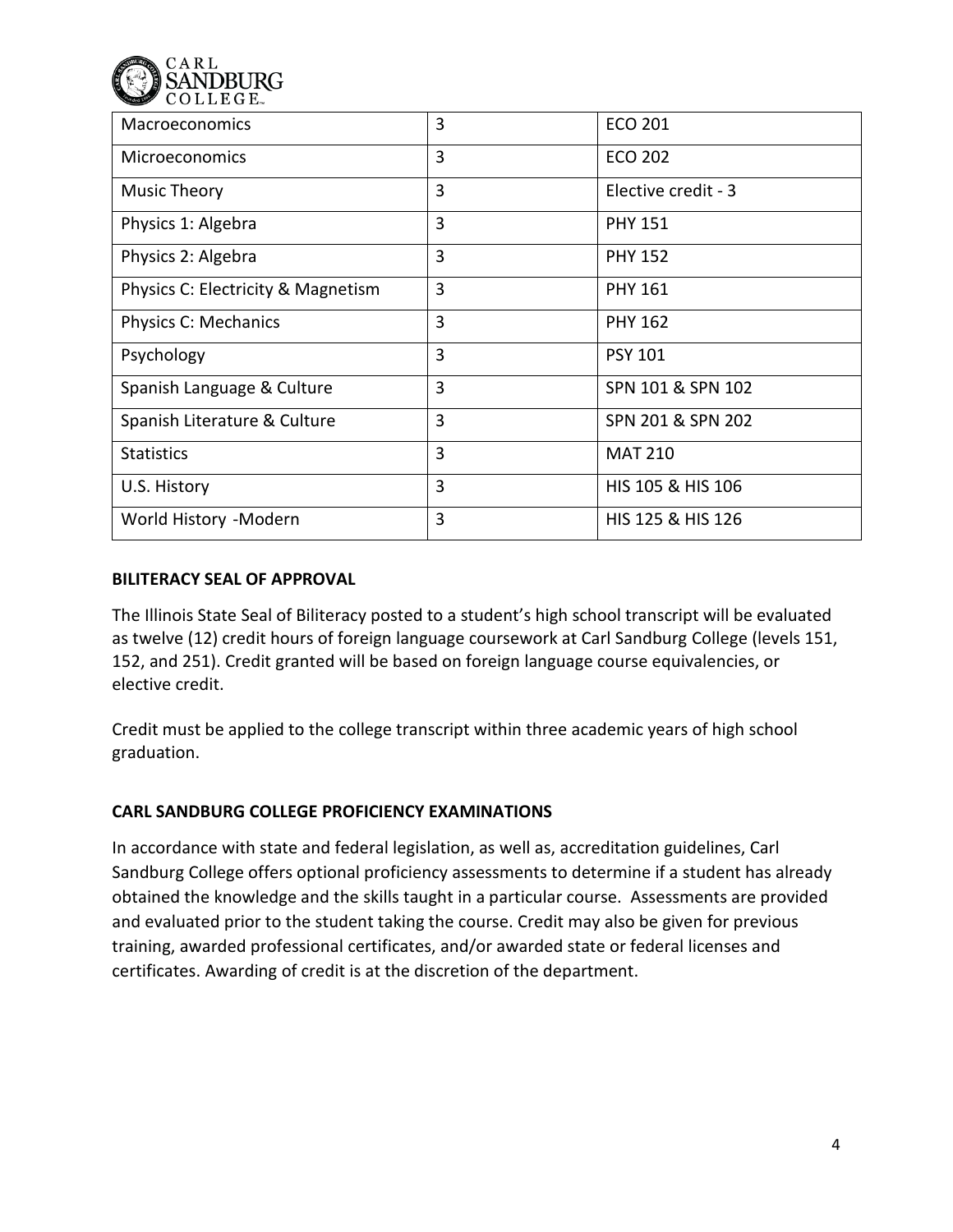

| Macroeconomics                     | 3              | <b>ECO 201</b>      |
|------------------------------------|----------------|---------------------|
| <b>Microeconomics</b>              | 3              | <b>ECO 202</b>      |
| Music Theory                       | 3              | Elective credit - 3 |
| Physics 1: Algebra                 | 3              | <b>PHY 151</b>      |
| Physics 2: Algebra                 | 3              | <b>PHY 152</b>      |
| Physics C: Electricity & Magnetism | 3              | <b>PHY 161</b>      |
| Physics C: Mechanics               | 3              | <b>PHY 162</b>      |
| Psychology                         | 3              | <b>PSY 101</b>      |
| Spanish Language & Culture         | $\overline{3}$ | SPN 101 & SPN 102   |
| Spanish Literature & Culture       | 3              | SPN 201 & SPN 202   |
| <b>Statistics</b>                  | 3              | <b>MAT 210</b>      |
| U.S. History                       | 3              | HIS 105 & HIS 106   |
| World History -Modern              | 3              | HIS 125 & HIS 126   |

#### **BILITERACY SEAL OF APPROVAL**

The Illinois State Seal of Biliteracy posted to a student's high school transcript will be evaluated as twelve (12) credit hours of foreign language coursework at Carl Sandburg College (levels 151, 152, and 251). Credit granted will be based on foreign language course equivalencies, or elective credit.

Credit must be applied to the college transcript within three academic years of high school graduation.

## **CARL SANDBURG COLLEGE PROFICIENCY EXAMINATIONS**

In accordance with state and federal legislation, as well as, accreditation guidelines, Carl Sandburg College offers optional proficiency assessments to determine if a student has already obtained the knowledge and the skills taught in a particular course. Assessments are provided and evaluated prior to the student taking the course. Credit may also be given for previous training, awarded professional certificates, and/or awarded state or federal licenses and certificates. Awarding of credit is at the discretion of the department.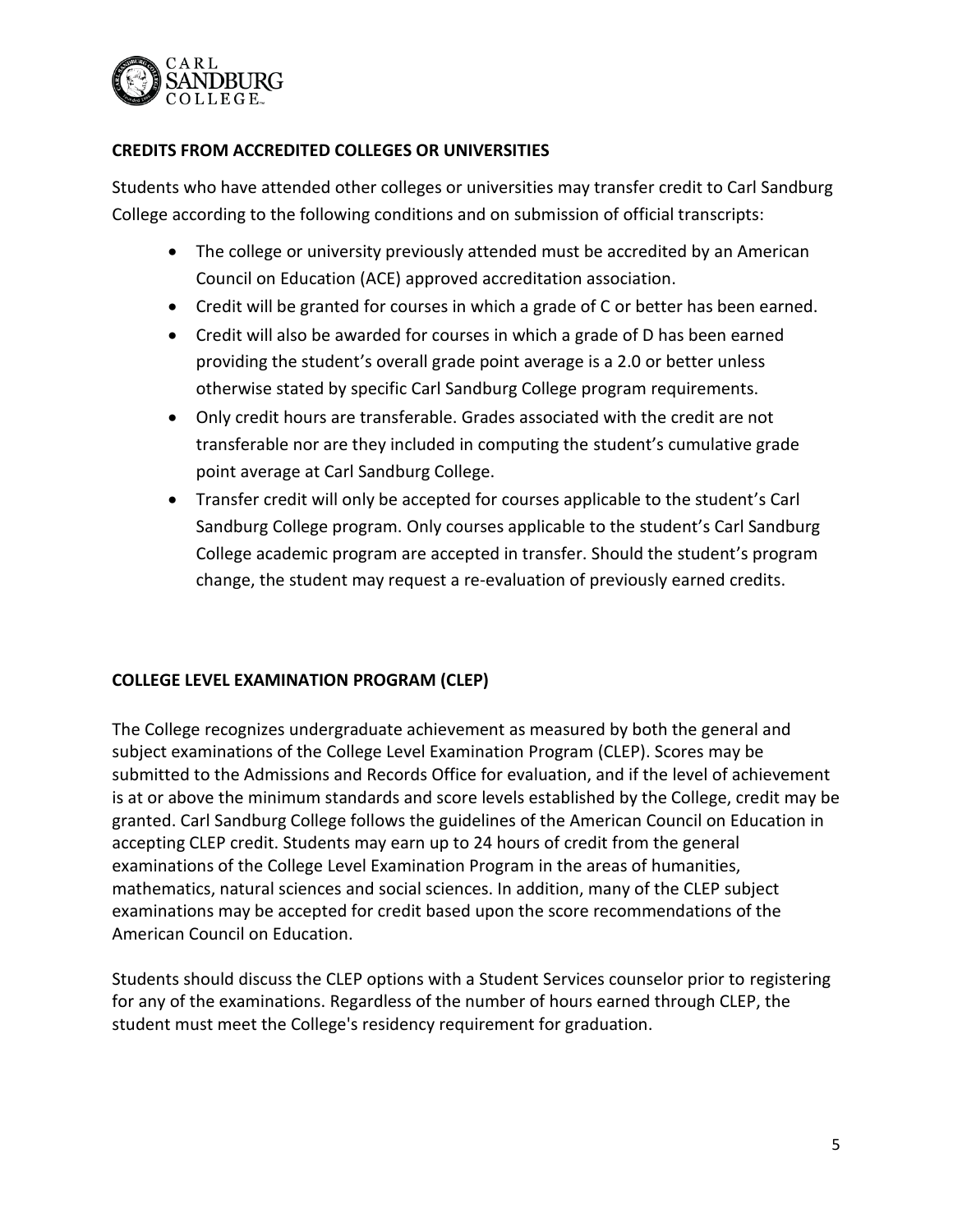

# **CREDITS FROM ACCREDITED COLLEGES OR UNIVERSITIES**

Students who have attended other colleges or universities may transfer credit to Carl Sandburg College according to the following conditions and on submission of official transcripts:

- The college or university previously attended must be accredited by an American Council on Education (ACE) approved accreditation association.
- Credit will be granted for courses in which a grade of C or better has been earned.
- Credit will also be awarded for courses in which a grade of D has been earned providing the student's overall grade point average is a 2.0 or better unless otherwise stated by specific Carl Sandburg College program requirements.
- Only credit hours are transferable. Grades associated with the credit are not transferable nor are they included in computing the student's cumulative grade point average at Carl Sandburg College.
- Transfer credit will only be accepted for courses applicable to the student's Carl Sandburg College program. Only courses applicable to the student's Carl Sandburg College academic program are accepted in transfer. Should the student's program change, the student may request a re-evaluation of previously earned credits.

## **COLLEGE LEVEL EXAMINATION PROGRAM (CLEP)**

The College recognizes undergraduate achievement as measured by both the general and subject examinations of the College Level Examination Program (CLEP). Scores may be submitted to the Admissions and Records Office for evaluation, and if the level of achievement is at or above the minimum standards and score levels established by the College, credit may be granted. Carl Sandburg College follows the guidelines of the American Council on Education in accepting CLEP credit. Students may earn up to 24 hours of credit from the general examinations of the College Level Examination Program in the areas of humanities, mathematics, natural sciences and social sciences. In addition, many of the CLEP subject examinations may be accepted for credit based upon the score recommendations of the American Council on Education.

Students should discuss the CLEP options with a Student Services counselor prior to registering for any of the examinations. Regardless of the number of hours earned through CLEP, the student must meet the College's residency requirement for graduation.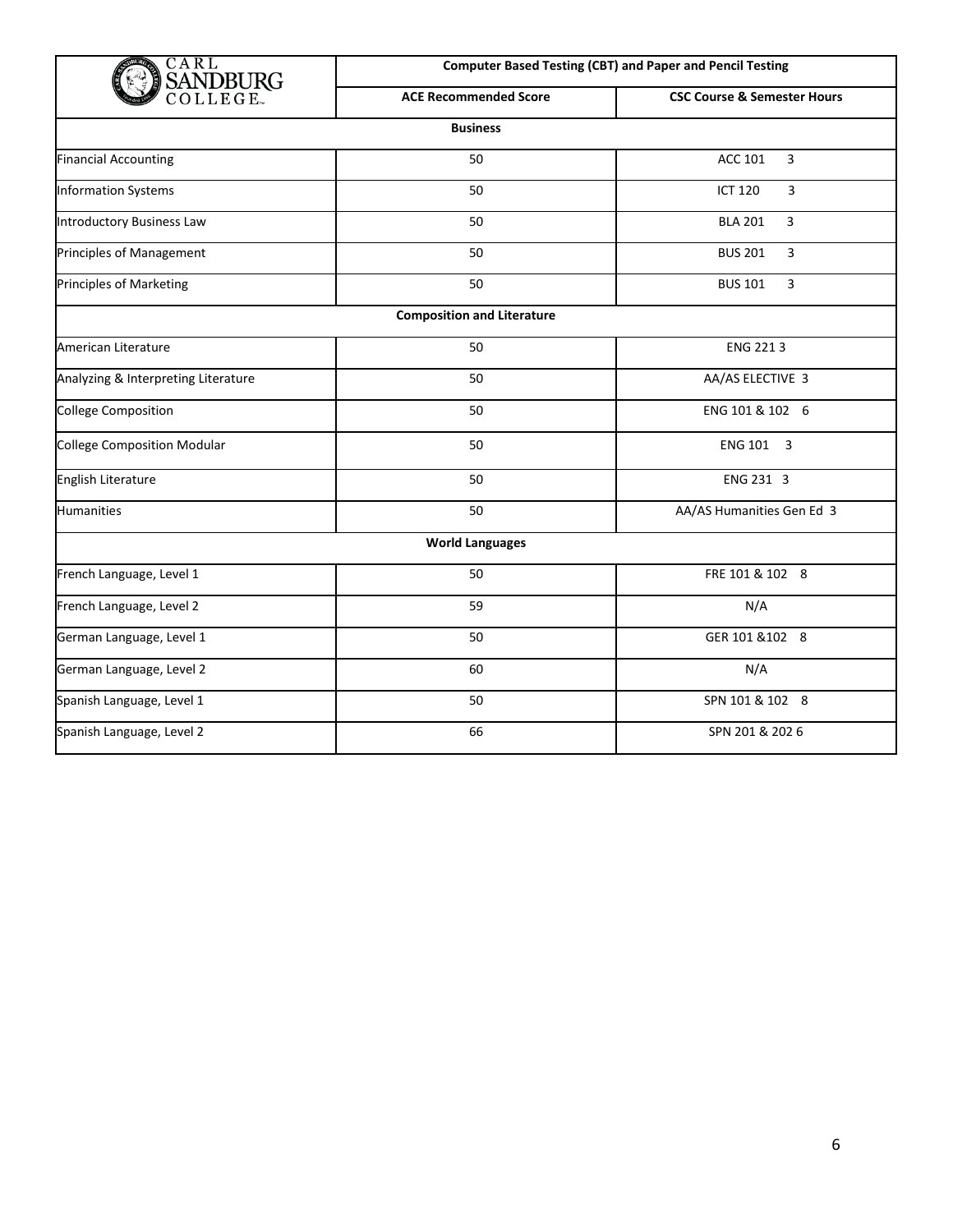| CARL                                | <b>Computer Based Testing (CBT) and Paper and Pencil Testing</b> |                                        |  |
|-------------------------------------|------------------------------------------------------------------|----------------------------------------|--|
| <b>SANDBURG</b><br>college.         | <b>ACE Recommended Score</b>                                     | <b>CSC Course &amp; Semester Hours</b> |  |
|                                     | <b>Business</b>                                                  |                                        |  |
| <b>Financial Accounting</b>         | 50                                                               | <b>ACC 101</b><br>$\mathbf{3}$         |  |
| <b>Information Systems</b>          | 50                                                               | <b>ICT 120</b><br>3                    |  |
| <b>Introductory Business Law</b>    | 50                                                               | <b>BLA 201</b><br>3                    |  |
| Principles of Management            | 50                                                               | <b>BUS 201</b><br>3                    |  |
| <b>Principles of Marketing</b>      | 50                                                               | 3<br><b>BUS 101</b>                    |  |
|                                     | <b>Composition and Literature</b>                                |                                        |  |
| American Literature                 | 50                                                               | ENG 2213                               |  |
| Analyzing & Interpreting Literature | 50                                                               | AA/AS ELECTIVE 3                       |  |
| <b>College Composition</b>          | 50                                                               | ENG 101 & 102 6                        |  |
| <b>College Composition Modular</b>  | 50                                                               | ENG 101 3                              |  |
| English Literature                  | 50                                                               | ENG 231 3                              |  |
| <b>Humanities</b>                   | 50                                                               | AA/AS Humanities Gen Ed 3              |  |
|                                     | <b>World Languages</b>                                           |                                        |  |
| French Language, Level 1            | 50                                                               | FRE 101 & 102 8                        |  |
| French Language, Level 2            | 59                                                               | N/A                                    |  |
| German Language, Level 1            | 50                                                               | GER 101 & 102 8                        |  |
| German Language, Level 2            | 60                                                               | N/A                                    |  |
| Spanish Language, Level 1           | 50                                                               | SPN 101 & 102 8                        |  |
| Spanish Language, Level 2           | 66                                                               | SPN 201 & 202 6                        |  |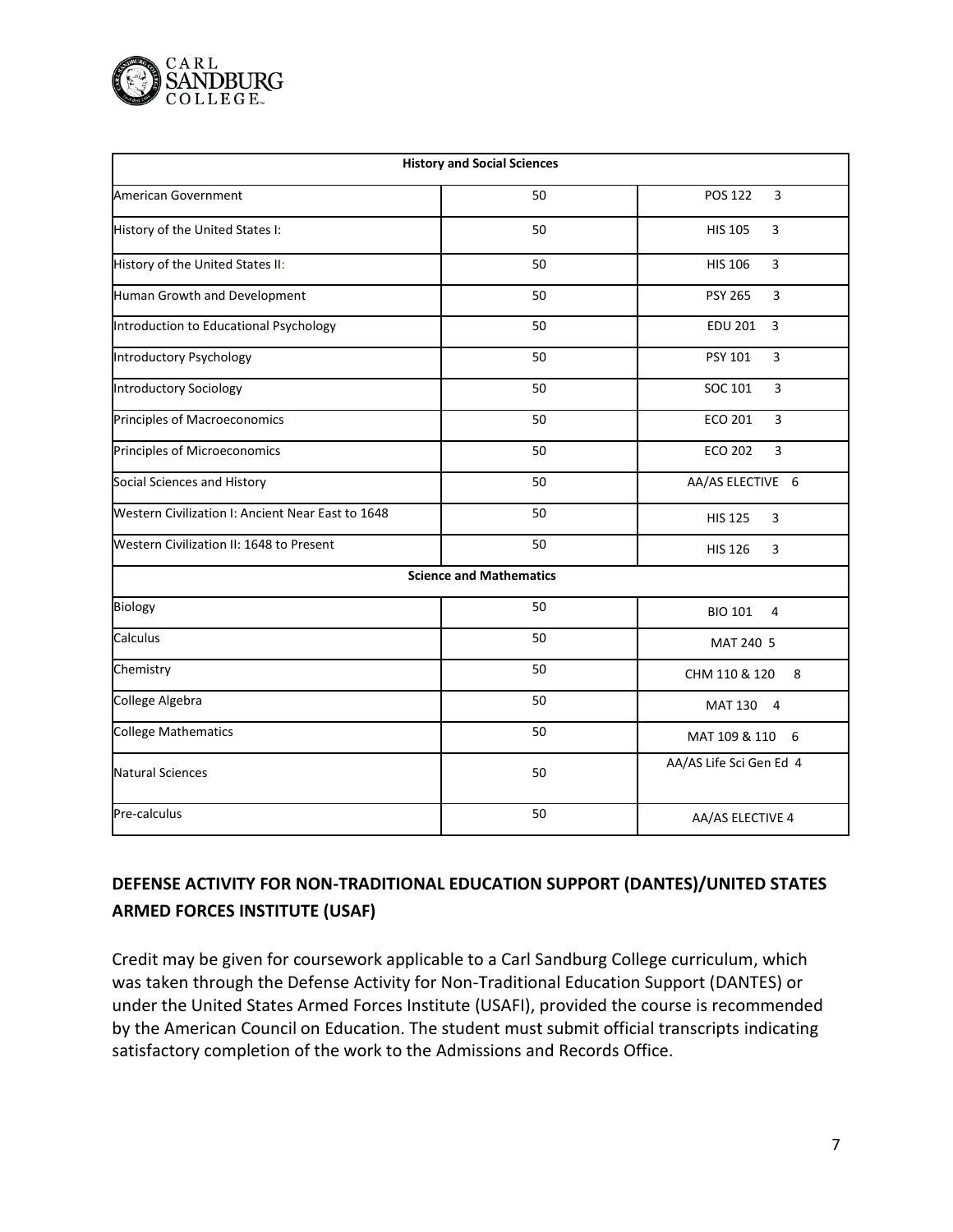

| <b>History and Social Sciences</b>                |                                |                                  |  |  |
|---------------------------------------------------|--------------------------------|----------------------------------|--|--|
| American Government                               | 50                             | POS 122<br>3                     |  |  |
| History of the United States I:                   | 50                             | 3<br><b>HIS 105</b>              |  |  |
| History of the United States II:                  | 50                             | <b>HIS 106</b><br>3              |  |  |
| Human Growth and Development                      | 50                             | <b>PSY 265</b><br>3              |  |  |
| Introduction to Educational Psychology            | 50                             | <b>EDU 201</b><br>3              |  |  |
| Introductory Psychology                           | 50                             | PSY 101<br>3                     |  |  |
| <b>Introductory Sociology</b>                     | 50                             | SOC 101<br>3                     |  |  |
| Principles of Macroeconomics                      | 50                             | <b>ECO 201</b><br>3              |  |  |
| Principles of Microeconomics                      | 50                             | <b>ECO 202</b><br>3              |  |  |
| Social Sciences and History                       | 50                             | AA/AS ELECTIVE 6                 |  |  |
| Western Civilization I: Ancient Near East to 1648 | 50                             | 3<br><b>HIS 125</b>              |  |  |
| <b>Western Civilization II: 1648 to Present</b>   | 50                             | <b>HIS 126</b><br>3              |  |  |
|                                                   | <b>Science and Mathematics</b> |                                  |  |  |
| <b>Biology</b>                                    | 50                             | <b>BIO 101</b><br>4              |  |  |
| Calculus                                          | 50                             | MAT 240 5                        |  |  |
| Chemistry                                         | 50                             | CHM 110 & 120<br>8               |  |  |
| College Algebra                                   | 50                             | <b>MAT 130</b><br>$\overline{4}$ |  |  |
| <b>College Mathematics</b>                        | 50                             | MAT 109 & 110<br>6               |  |  |
| <b>Natural Sciences</b>                           | 50                             | AA/AS Life Sci Gen Ed 4          |  |  |
| Pre-calculus                                      | 50                             | AA/AS ELECTIVE 4                 |  |  |

# **DEFENSE ACTIVITY FOR NON-TRADITIONAL EDUCATION SUPPORT (DANTES)/UNITED STATES ARMED FORCES INSTITUTE (USAF)**

Credit may be given for coursework applicable to a Carl Sandburg College curriculum, which was taken through the Defense Activity for Non-Traditional Education Support (DANTES) or under the United States Armed Forces Institute (USAFI), provided the course is recommended by the American Council on Education. The student must submit official transcripts indicating satisfactory completion of the work to the Admissions and Records Office.